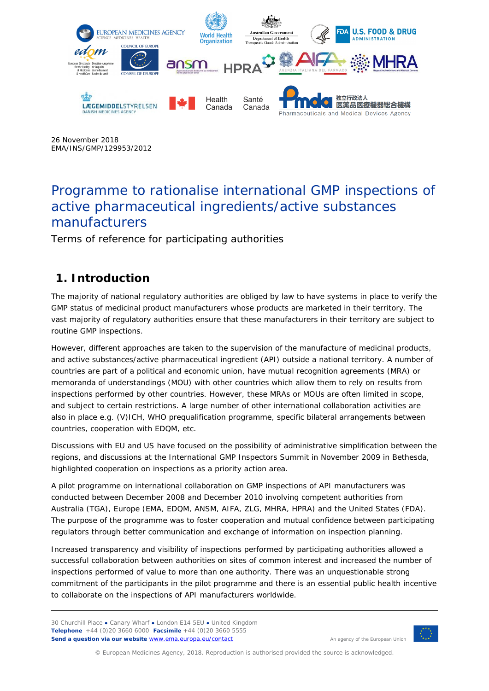

26 November 2018 EMA/INS/GMP/129953/2012

# Programme to rationalise international GMP inspections of active pharmaceutical ingredients/active substances manufacturers

Terms of reference for participating authorities

# **1. Introduction**

The majority of national regulatory authorities are obliged by law to have systems in place to verify the GMP status of medicinal product manufacturers whose products are marketed in their territory. The vast majority of regulatory authorities ensure that these manufacturers in their territory are subject to routine GMP inspections.

However, different approaches are taken to the supervision of the manufacture of medicinal products, and active substances/active pharmaceutical ingredient (API) outside a national territory. A number of countries are part of a political and economic union, have mutual recognition agreements (MRA) or memoranda of understandings (MOU) with other countries which allow them to rely on results from inspections performed by other countries. However, these MRAs or MOUs are often limited in scope, and subject to certain restrictions. A large number of other international collaboration activities are also in place e.g. (V)ICH, WHO prequalification programme, specific bilateral arrangements between countries, cooperation with EDQM, etc.

Discussions with EU and US have focused on the possibility of administrative simplification between the regions, and discussions at the International GMP Inspectors Summit in November 2009 in Bethesda, highlighted cooperation on inspections as a priority action area.

A pilot programme on international collaboration on GMP inspections of API manufacturers was conducted between December 2008 and December 2010 involving competent authorities from Australia (TGA), Europe (EMA, EDQM, ANSM, AIFA, ZLG, MHRA, HPRA) and the United States (FDA). The purpose of the programme was to foster cooperation and mutual confidence between participating regulators through better communication and exchange of information on inspection planning.

Increased transparency and visibility of inspections performed by participating authorities allowed a successful collaboration between authorities on sites of common interest and increased the number of inspections performed of value to more than one authority. There was an unquestionable strong commitment of the participants in the pilot programme and there is an essential public health incentive to collaborate on the inspections of API manufacturers worldwide.

30 Churchill Place **●** Canary Wharf **●** London E14 5EU **●** United Kingdom **Telephone** +44 (0)20 3660 6000 **Facsimile** +44 (0)20 3660 5555 Send a question via our website **www.ema.europa.eu/contact** An agency of the European Union



© European Medicines Agency, 2018. Reproduction is authorised provided the source is acknowledged.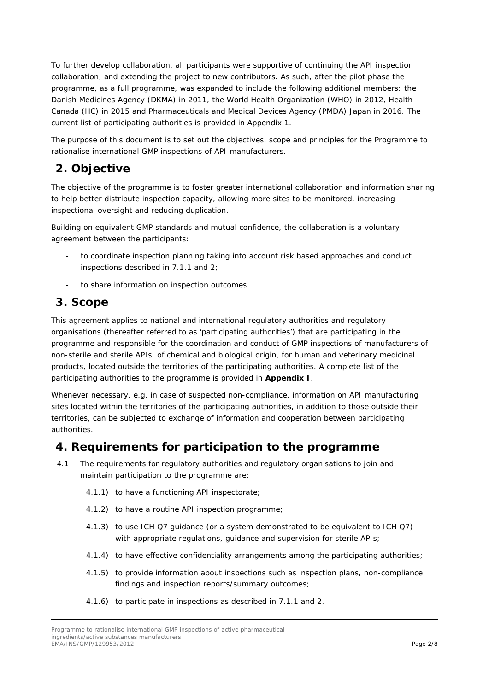To further develop collaboration, all participants were supportive of continuing the API inspection collaboration, and extending the project to new contributors. As such, after the pilot phase the programme, as a full programme, was expanded to include the following additional members: the Danish Medicines Agency (DKMA) in 2011, the World Health Organization (WHO) in 2012, Health Canada (HC) in 2015 and Pharmaceuticals and Medical Devices Agency (PMDA) Japan in 2016. The current list of participating authorities is provided in Appendix 1.

The purpose of this document is to set out the objectives, scope and principles for the Programme to rationalise international GMP inspections of API manufacturers.

### **2. Objective**

The objective of the programme is to foster greater international collaboration and information sharing to help better distribute inspection capacity, allowing more sites to be monitored, increasing inspectional oversight and reducing duplication.

Building on equivalent GMP standards and mutual confidence, the collaboration is a voluntary agreement between the participants:

- to coordinate inspection planning taking into account risk based approaches and conduct inspections described in 7.1.1 and 2;
- to share information on inspection outcomes.

#### **3. Scope**

This agreement applies to national and international regulatory authorities and regulatory organisations (thereafter referred to as 'participating authorities') that are participating in the programme and responsible for the coordination and conduct of GMP inspections of manufacturers of non-sterile and sterile APIs, of chemical and biological origin, for human and veterinary medicinal products, located outside the territories of the participating authorities. A complete list of the participating authorities to the programme is provided in **Appendix I**.

Whenever necessary, e.g. in case of suspected non-compliance, information on API manufacturing sites located within the territories of the participating authorities, in addition to those outside their territories, can be subjected to exchange of information and cooperation between participating authorities.

#### **4. Requirements for participation to the programme**

- 4.1 The requirements for regulatory authorities and regulatory organisations to join and maintain participation to the programme are:
	- 4.1.1) to have a functioning API inspectorate;
	- 4.1.2) to have a routine API inspection programme;
	- 4.1.3) to use ICH Q7 guidance (or a system demonstrated to be equivalent to ICH Q7) with appropriate regulations, guidance and supervision for sterile APIs;
	- 4.1.4) to have effective confidentiality arrangements among the participating authorities;
	- 4.1.5) to provide information about inspections such as inspection plans, non-compliance findings and inspection reports/summary outcomes;
	- 4.1.6) to participate in inspections as described in 7.1.1 and 2.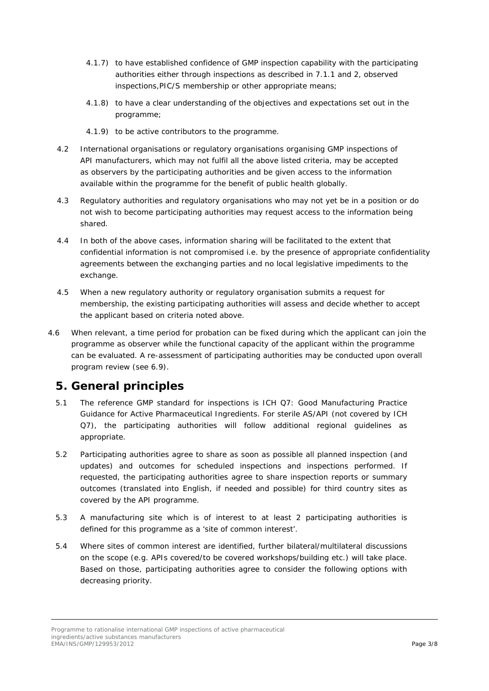- 4.1.7) to have established confidence of GMP inspection capability with the participating authorities either through inspections as described in 7.1.1 and 2, observed inspections,PIC/S membership or other appropriate means;
- 4.1.8) to have a clear understanding of the objectives and expectations set out in the programme;
- 4.1.9) to be active contributors to the programme.
- 4.2 International organisations or regulatory organisations organising GMP inspections of API manufacturers, which may not fulfil all the above listed criteria, may be accepted as observers by the participating authorities and be given access to the information available within the programme for the benefit of public health globally.
- 4.3 Regulatory authorities and regulatory organisations who may not yet be in a position or do not wish to become participating authorities may request access to the information being shared.
- 4.4 In both of the above cases, information sharing will be facilitated to the extent that confidential information is not compromised i.e. by the presence of appropriate confidentiality agreements between the exchanging parties and no local legislative impediments to the exchange.
- 4.5 When a new regulatory authority or regulatory organisation submits a request for membership, the existing participating authorities will assess and decide whether to accept the applicant based on criteria noted above.
- 4.6 When relevant, a time period for probation can be fixed during which the applicant can join the programme as observer while the functional capacity of the applicant within the programme can be evaluated. A re-assessment of participating authorities may be conducted upon overall program review (see 6.9).

### **5. General principles**

- 5.1 The reference GMP standard for inspections is ICH Q7: Good Manufacturing Practice Guidance for Active Pharmaceutical Ingredients. For sterile AS/API (not covered by ICH Q7), the participating authorities will follow additional regional guidelines as appropriate.
- 5.2 Participating authorities agree to share as soon as possible all planned inspection (and updates) and outcomes for scheduled inspections and inspections performed. If requested, the participating authorities agree to share inspection reports or summary outcomes (translated into English, if needed and possible) for third country sites as covered by the API programme.
- 5.3 A manufacturing site which is of interest to at least 2 participating authorities is defined for this programme as a 'site of common interest'.
- 5.4 Where sites of common interest are identified, further bilateral/multilateral discussions on the scope (e.g. APIs covered/to be covered workshops/building etc.) will take place. Based on those, participating authorities agree to consider the following options with decreasing priority.

Programme to rationalise international GMP inspections of active pharmaceutical ingredients/active substances manufacturers EMA/INS/GMP/129953/2012 Page 3/8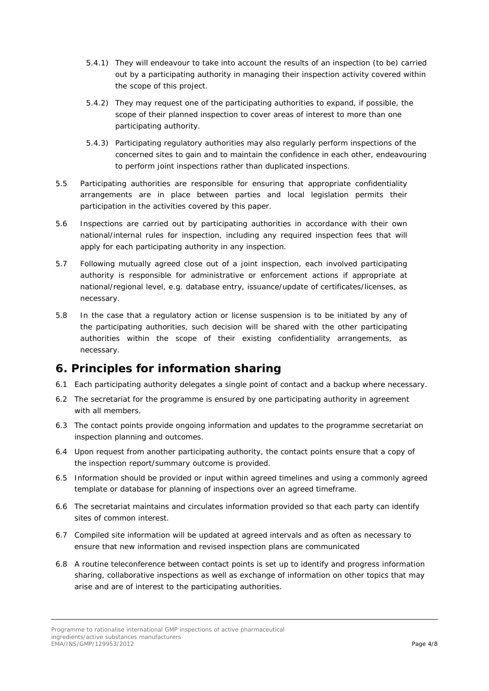- 5.4.1) They will endeavour to take into account the results of an inspection (to be) carried out by a participating authority in managing their inspection activity covered within the scope of this project.
- 5.4.2) They may request one of the participating authorities to expand, if possible, the scope of their planned inspection to cover areas of interest to more than one participating authority.
- 5.4.3) Participating regulatory authorities may also regularly perform inspections of the concerned sites to gain and to maintain the confidence in each other, endeavouring to perform joint inspections rather than duplicated inspections.
- 5.5 Participating authorities are responsible for ensuring that appropriate confidentiality arrangements are in place between parties and local legislation permits their participation in the activities covered by this paper.
- 5.6 Inspections are carried out by participating authorities in accordance with their own national/internal rules for inspection, including any required inspection fees that will apply for each participating authority in any inspection.
- 5.7 Following mutually agreed close out of a joint inspection, each involved participating authority is responsible for administrative or enforcement actions if appropriate at national/regional level, e.g. database entry, issuance/update of certificates/licenses, as necessary.
- 5.8 In the case that a regulatory action or license suspension is to be initiated by any of the participating authorities, such decision will be shared with the other participating authorities within the scope of their existing confidentiality arrangements, as necessary.

# **6. Principles for information sharing**

- 6.1 Each participating authority delegates a single point of contact and a backup where necessary.
- 6.2 The secretariat for the programme is ensured by one participating authority in agreement with all members.
- 6.3 The contact points provide ongoing information and updates to the programme secretariat on inspection planning and outcomes.
- 6.4 Upon request from another participating authority, the contact points ensure that a copy of the inspection report/summary outcome is provided.
- 6.5 Information should be provided or input within agreed timelines and using a commonly agreed template or database for planning of inspections over an agreed timeframe.
- 6.6 The secretariat maintains and circulates information provided so that each party can identify sites of common interest.
- 6.7 Compiled site information will be updated at agreed intervals and as often as necessary to ensure that new information and revised inspection plans are communicated
- 6.8 A routine teleconference between contact points is set up to identify and progress information sharing, collaborative inspections as well as exchange of information on other topics that may arise and are of interest to the participating authorities.

Programme to rationalise international GMP inspections of active pharmaceutical ingredients/active substances manufacturers EMA/INS/GMP/129953/2012 Page 4/8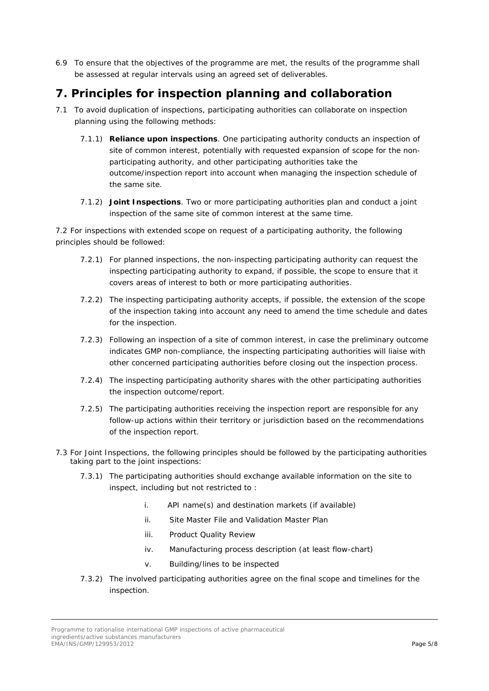6.9 To ensure that the objectives of the programme are met, the results of the programme shall be assessed at regular intervals using an agreed set of deliverables.

# **7. Principles for inspection planning and collaboration**

- 7.1 To avoid duplication of inspections, participating authorities can collaborate on inspection planning using the following methods:
	- 7.1.1) **Reliance upon inspections**. One participating authority conducts an inspection of site of common interest, potentially with requested expansion of scope for the nonparticipating authority, and other participating authorities take the outcome/inspection report into account when managing the inspection schedule of the same site.
	- 7.1.2) **Joint Inspections**. Two or more participating authorities plan and conduct a joint inspection of the same site of common interest at the same time.

7.2 For inspections with extended scope on request of a participating authority, the following principles should be followed:

- 7.2.1) For planned inspections, the non-inspecting participating authority can request the inspecting participating authority to expand, if possible, the scope to ensure that it covers areas of interest to both or more participating authorities.
- 7.2.2) The inspecting participating authority accepts, if possible, the extension of the scope of the inspection taking into account any need to amend the time schedule and dates for the inspection.
- 7.2.3) Following an inspection of a site of common interest, in case the preliminary outcome indicates GMP non-compliance, the inspecting participating authorities will liaise with other concerned participating authorities before closing out the inspection process.
- 7.2.4) The inspecting participating authority shares with the other participating authorities the inspection outcome/report.
- 7.2.5) The participating authorities receiving the inspection report are responsible for any follow-up actions within their territory or jurisdiction based on the recommendations of the inspection report.
- 7.3 For Joint Inspections, the following principles should be followed by the participating authorities taking part to the joint inspections:
	- 7.3.1) The participating authorities should exchange available information on the site to inspect, including but not restricted to :
		- i. API name(s) and destination markets (if available)
		- ii. Site Master File and Validation Master Plan
		- iii. Product Quality Review
		- iv. Manufacturing process description (at least flow-chart)
		- v. Building/lines to be inspected
	- 7.3.2) The involved participating authorities agree on the final scope and timelines for the inspection.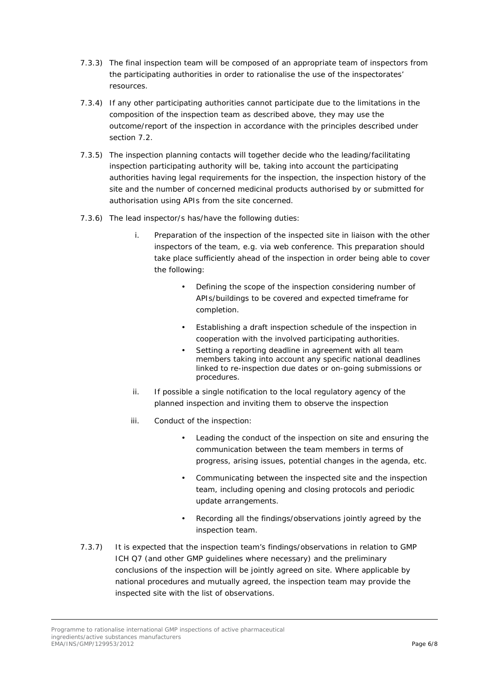- 7.3.3) The final inspection team will be composed of an appropriate team of inspectors from the participating authorities in order to rationalise the use of the inspectorates' resources.
- 7.3.4) If any other participating authorities cannot participate due to the limitations in the composition of the inspection team as described above, they may use the outcome/report of the inspection in accordance with the principles described under section 7.2.
- 7.3.5) The inspection planning contacts will together decide who the leading/facilitating inspection participating authority will be, taking into account the participating authorities having legal requirements for the inspection, the inspection history of the site and the number of concerned medicinal products authorised by or submitted for authorisation using APIs from the site concerned.
- 7.3.6) The lead inspector/s has/have the following duties:
	- i. Preparation of the inspection of the inspected site in liaison with the other inspectors of the team, e.g. via web conference. This preparation should take place sufficiently ahead of the inspection in order being able to cover the following:
		- Defining the scope of the inspection considering number of APIs/buildings to be covered and expected timeframe for completion.
		- Establishing a draft inspection schedule of the inspection in cooperation with the involved participating authorities.
		- Setting a reporting deadline in agreement with all team members taking into account any specific national deadlines linked to re-inspection due dates or on-going submissions or procedures.
	- ii. If possible a single notification to the local regulatory agency of the planned inspection and inviting them to observe the inspection
	- iii. Conduct of the inspection:
		- Leading the conduct of the inspection on site and ensuring the communication between the team members in terms of progress, arising issues, potential changes in the agenda, etc.
		- Communicating between the inspected site and the inspection team, including opening and closing protocols and periodic update arrangements.
		- Recording all the findings/observations jointly agreed by the inspection team.
- 7.3.7) It is expected that the inspection team's findings/observations in relation to GMP ICH Q7 (and other GMP guidelines where necessary) and the preliminary conclusions of the inspection will be jointly agreed on site. Where applicable by national procedures and mutually agreed, the inspection team may provide the inspected site with the list of observations.

Programme to rationalise international GMP inspections of active pharmaceutical ingredients/active substances manufacturers EMA/INS/GMP/129953/2012 Page 6/8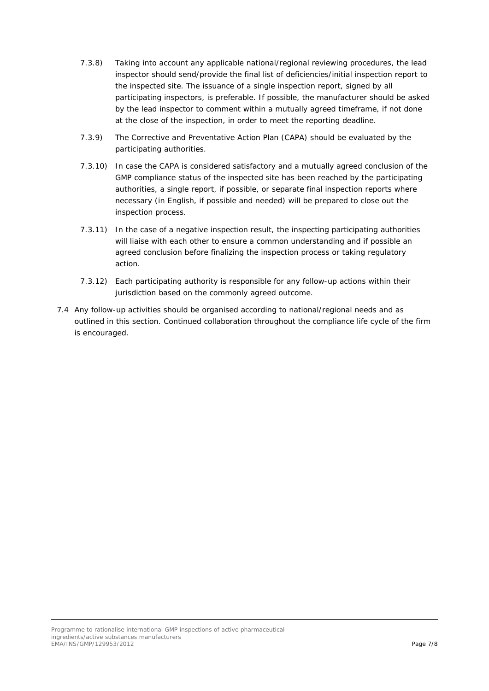- 7.3.8) Taking into account any applicable national/regional reviewing procedures, the lead inspector should send/provide the final list of deficiencies/initial inspection report to the inspected site. The issuance of a single inspection report, signed by all participating inspectors, is preferable. If possible, the manufacturer should be asked by the lead inspector to comment within a mutually agreed timeframe, if not done at the close of the inspection, in order to meet the reporting deadline.
- 7.3.9) The Corrective and Preventative Action Plan (CAPA) should be evaluated by the participating authorities.
- 7.3.10) In case the CAPA is considered satisfactory and a mutually agreed conclusion of the GMP compliance status of the inspected site has been reached by the participating authorities, a single report, if possible, or separate final inspection reports where necessary (in English, if possible and needed) will be prepared to close out the inspection process.
- 7.3.11) In the case of a negative inspection result, the inspecting participating authorities will liaise with each other to ensure a common understanding and if possible an agreed conclusion before finalizing the inspection process or taking regulatory action.
- 7.3.12) Each participating authority is responsible for any follow-up actions within their jurisdiction based on the commonly agreed outcome.
- 7.4 Any follow-up activities should be organised according to national/regional needs and as outlined in this section. Continued collaboration throughout the compliance life cycle of the firm is encouraged.